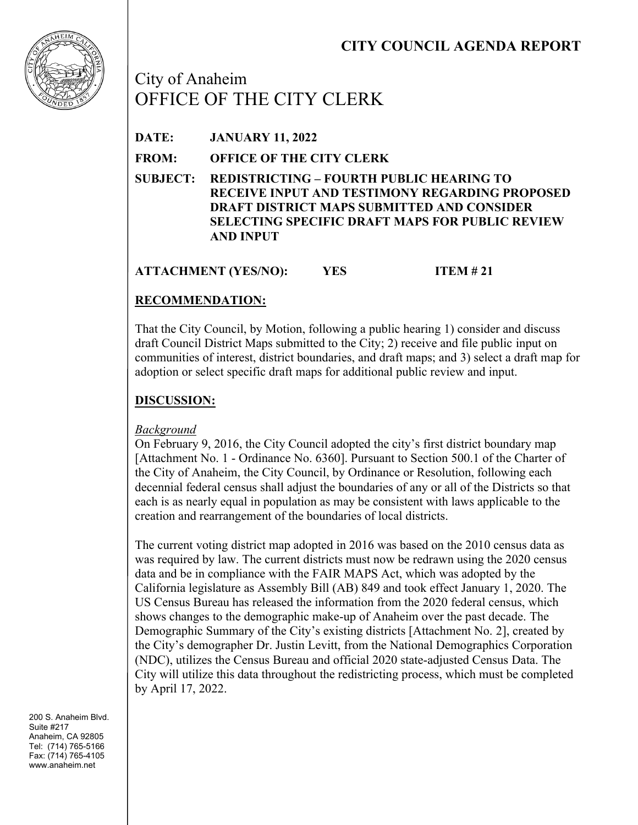

City of Anaheim OFFICE OF THE CITY CLERK

**DATE: JANUARY 11, 2022**

**FROM: OFFICE OF THE CITY CLERK**

**SUBJECT: REDISTRICTING – FOURTH PUBLIC HEARING TO RECEIVE INPUT AND TESTIMONY REGARDING PROPOSED DRAFT DISTRICT MAPS SUBMITTED AND CONSIDER SELECTING SPECIFIC DRAFT MAPS FOR PUBLIC REVIEW AND INPUT**

**ATTACHMENT (YES/NO): YES ITEM # 21**

# **RECOMMENDATION:**

That the City Council, by Motion, following a public hearing 1) consider and discuss draft Council District Maps submitted to the City; 2) receive and file public input on communities of interest, district boundaries, and draft maps; and 3) select a draft map for adoption or select specific draft maps for additional public review and input.

# **DISCUSSION:**

### *Background*

On February 9, 2016, the City Council adopted the city's first district boundary map [Attachment No. 1 - Ordinance No. 6360]. Pursuant to Section 500.1 of the Charter of the City of Anaheim, the City Council, by Ordinance or Resolution, following each decennial federal census shall adjust the boundaries of any or all of the Districts so that each is as nearly equal in population as may be consistent with laws applicable to the creation and rearrangement of the boundaries of local districts.

The current voting district map adopted in 2016 was based on the 2010 census data as was required by law. The current districts must now be redrawn using the 2020 census data and be in compliance with the FAIR MAPS Act, which was adopted by the California legislature as Assembly Bill (AB) 849 and took effect January 1, 2020. The US Census Bureau has released the information from the 2020 federal census, which shows changes to the demographic make-up of Anaheim over the past decade. The Demographic Summary of the City's existing districts [Attachment No. 2], created by the City's demographer Dr. Justin Levitt, from the National Demographics Corporation (NDC), utilizes the Census Bureau and official 2020 state-adjusted Census Data. The City will utilize this data throughout the redistricting process, which must be completed by April 17, 2022.

200 S. Anaheim Blvd. Suite #217 Anaheim, CA 92805 Tel: (714) 765-5166 Fax: (714) 765-4105 www.anaheim.net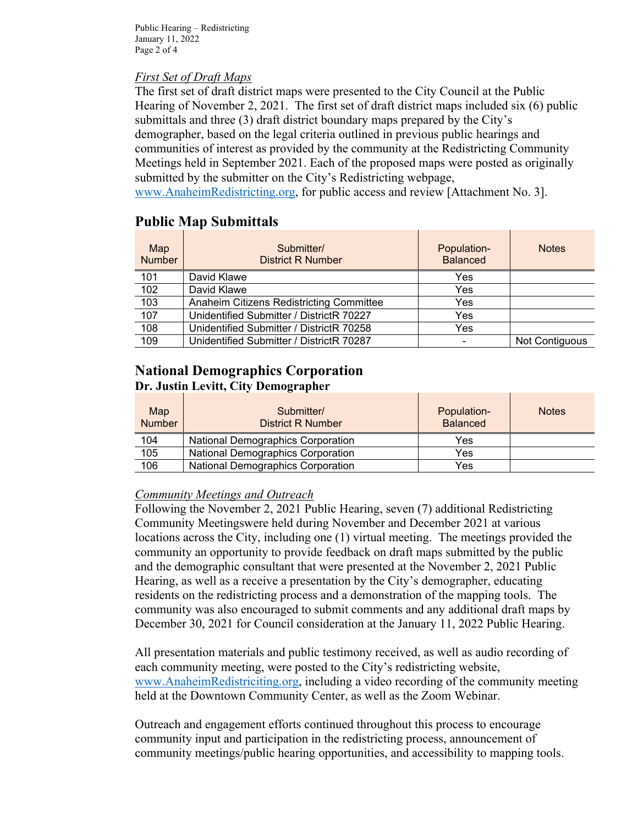Public Hearing – Redistricting January 11, 2022 Page 2 of 4

#### *First Set of Draft Maps*

The first set of draft district maps were presented to the City Council at the Public Hearing of November 2, 2021. The first set of draft district maps included six (6) public submittals and three (3) draft district boundary maps prepared by the City's demographer, based on the legal criteria outlined in previous public hearings and communities of interest as provided by the community at the Redistricting Community Meetings held in September 2021. Each of the proposed maps were posted as originally submitted by the submitter on the City's Redistricting webpage,

www.AnaheimRedistricting.org, for public access and review [Attachment No. 3].

# **Public Map Submittals**

| Map<br><b>Number</b> | Submitter/<br><b>District R Number</b>   | Population-<br><b>Balanced</b> | <b>Notes</b>   |
|----------------------|------------------------------------------|--------------------------------|----------------|
| 101                  | David Klawe                              | Yes                            |                |
| 102                  | David Klawe                              | Yes                            |                |
| 103                  | Anaheim Citizens Redistricting Committee | Yes                            |                |
| 107                  | Unidentified Submitter / DistrictR 70227 | Yes                            |                |
| 108                  | Unidentified Submitter / DistrictR 70258 | Yes                            |                |
| 109                  | Unidentified Submitter / DistrictR 70287 |                                | Not Contiguous |

# **National Demographics Corporation Dr. Justin Levitt, City Demographer**

| Map<br><b>Number</b> | Submitter/<br><b>District R Number</b>   | Population-<br><b>Balanced</b> | <b>Notes</b> |
|----------------------|------------------------------------------|--------------------------------|--------------|
| 104                  | <b>National Demographics Corporation</b> | Yes                            |              |
| 105                  | <b>National Demographics Corporation</b> | Yes                            |              |
| 106                  | <b>National Demographics Corporation</b> | Yes                            |              |

### *Community Meetings and Outreach*

Following the November 2, 2021 Public Hearing, seven (7) additional Redistricting Community Meetingswere held during November and December 2021 at various locations across the City, including one (1) virtual meeting. The meetings provided the community an opportunity to provide feedback on draft maps submitted by the public and the demographic consultant that were presented at the November 2, 2021 Public Hearing, as well as a receive a presentation by the City's demographer, educating residents on the redistricting process and a demonstration of the mapping tools. The community was also encouraged to submit comments and any additional draft maps by December 30, 2021 for Council consideration at the January 11, 2022 Public Hearing.

All presentation materials and public testimony received, as well as audio recording of each community meeting, were posted to the City's redistricting website, www.AnaheimRedistriciting.org, including a video recording of the community meeting held at the Downtown Community Center, as well as the Zoom Webinar.

Outreach and engagement efforts continued throughout this process to encourage community input and participation in the redistricting process, announcement of community meetings/public hearing opportunities, and accessibility to mapping tools.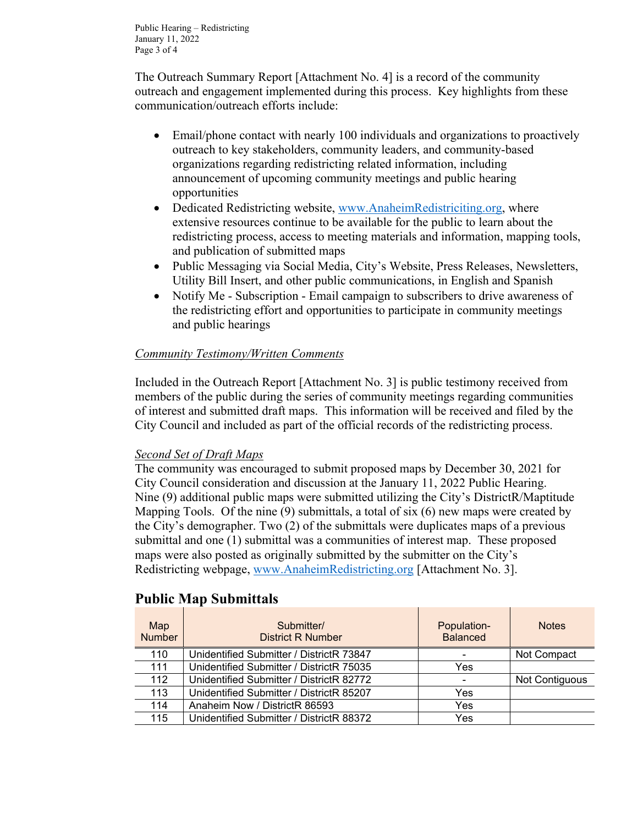Public Hearing – Redistricting January 11, 2022 Page 3 of 4

The Outreach Summary Report [Attachment No. 4] is a record of the community outreach and engagement implemented during this process. Key highlights from these communication/outreach efforts include:

- Email/phone contact with nearly 100 individuals and organizations to proactively outreach to key stakeholders, community leaders, and community-based organizations regarding redistricting related information, including announcement of upcoming community meetings and public hearing opportunities
- Dedicated Redistricting website, www.AnaheimRedistriciting.org, where extensive resources continue to be available for the public to learn about the redistricting process, access to meeting materials and information, mapping tools, and publication of submitted maps
- Public Messaging via Social Media, City's Website, Press Releases, Newsletters, Utility Bill Insert, and other public communications, in English and Spanish
- Notify Me Subscription Email campaign to subscribers to drive awareness of the redistricting effort and opportunities to participate in community meetings and public hearings

### *Community Testimony/Written Comments*

Included in the Outreach Report [Attachment No. 3] is public testimony received from members of the public during the series of community meetings regarding communities of interest and submitted draft maps. This information will be received and filed by the City Council and included as part of the official records of the redistricting process.

### *Second Set of Draft Maps*

The community was encouraged to submit proposed maps by December 30, 2021 for City Council consideration and discussion at the January 11, 2022 Public Hearing. Nine (9) additional public maps were submitted utilizing the City's DistrictR/Maptitude Mapping Tools. Of the nine (9) submittals, a total of six (6) new maps were created by the City's demographer. Two (2) of the submittals were duplicates maps of a previous submittal and one (1) submittal was a communities of interest map. These proposed maps were also posted as originally submitted by the submitter on the City's Redistricting webpage, www.AnaheimRedistricting.org [Attachment No. 3].

| Map<br><b>Number</b> | Submitter/<br><b>District R Number</b>   | Population-<br><b>Balanced</b> | <b>Notes</b>   |
|----------------------|------------------------------------------|--------------------------------|----------------|
| 110                  | Unidentified Submitter / DistrictR 73847 | -                              | Not Compact    |
| 111                  | Unidentified Submitter / DistrictR 75035 | Yes                            |                |
| 112                  | Unidentified Submitter / DistrictR 82772 | $\overline{\phantom{0}}$       | Not Contiguous |
| 113                  | Unidentified Submitter / DistrictR 85207 | Yes                            |                |
| 114                  | Anaheim Now / DistrictR 86593            | Yes                            |                |
| 115                  | Unidentified Submitter / DistrictR 88372 | Yes                            |                |

### **Public Map Submittals**